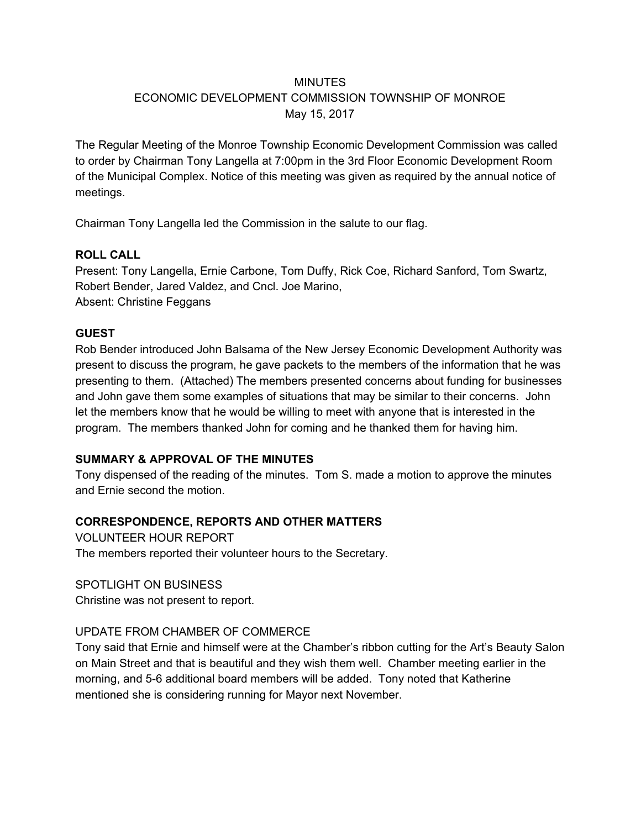## **MINUTES**

### ECONOMIC DEVELOPMENT COMMISSION TOWNSHIP OF MONROE May 15, 2017

The Regular Meeting of the Monroe Township Economic Development Commission was called to order by Chairman Tony Langella at 7:00pm in the 3rd Floor Economic Development Room of the Municipal Complex. Notice of this meeting was given as required by the annual notice of meetings.

Chairman Tony Langella led the Commission in the salute to our flag.

#### **ROLL CALL**

Present: Tony Langella, Ernie Carbone, Tom Duffy, Rick Coe, Richard Sanford, Tom Swartz, Robert Bender, Jared Valdez, and Cncl. Joe Marino, Absent: Christine Feggans

## **GUEST**

Rob Bender introduced John Balsama of the New Jersey Economic Development Authority was present to discuss the program, he gave packets to the members of the information that he was presenting to them. (Attached) The members presented concerns about funding for businesses and John gave them some examples of situations that may be similar to their concerns. John let the members know that he would be willing to meet with anyone that is interested in the program. The members thanked John for coming and he thanked them for having him.

# **SUMMARY & APPROVAL OF THE MINUTES**

Tony dispensed of the reading of the minutes. Tom S. made a motion to approve the minutes and Ernie second the motion.

# **CORRESPONDENCE, REPORTS AND OTHER MATTERS**

VOLUNTEER HOUR REPORT The members reported their volunteer hours to the Secretary.

#### SPOTLIGHT ON BUSINESS

Christine was not present to report.

#### UPDATE FROM CHAMBER OF COMMERCE

Tony said that Ernie and himself were at the Chamber's ribbon cutting for the Art's Beauty Salon on Main Street and that is beautiful and they wish them well. Chamber meeting earlier in the morning, and 5-6 additional board members will be added. Tony noted that Katherine mentioned she is considering running for Mayor next November.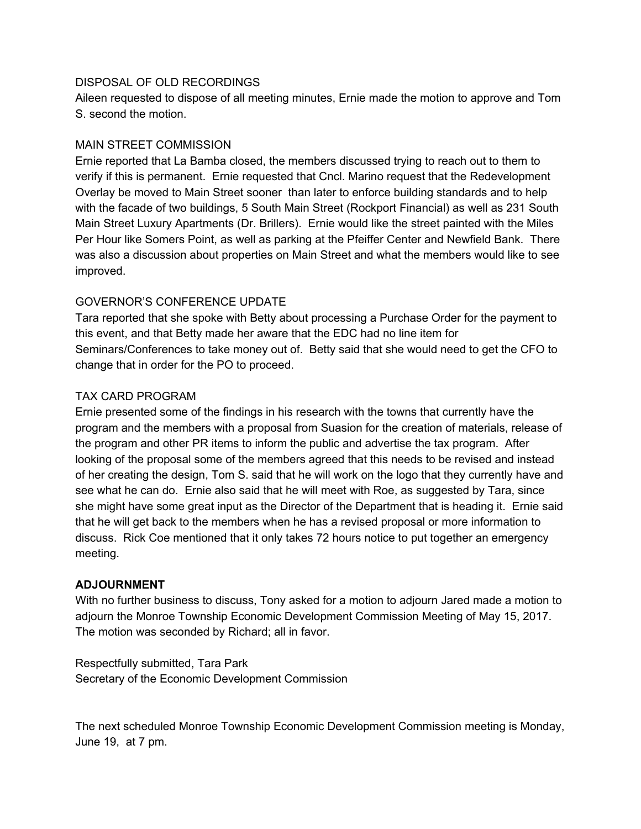#### DISPOSAL OF OLD RECORDINGS

Aileen requested to dispose of all meeting minutes, Ernie made the motion to approve and Tom S. second the motion.

#### MAIN STREET COMMISSION

Ernie reported that La Bamba closed, the members discussed trying to reach out to them to verify if this is permanent. Ernie requested that Cncl. Marino request that the Redevelopment Overlay be moved to Main Street sooner than later to enforce building standards and to help with the facade of two buildings, 5 South Main Street (Rockport Financial) as well as 231 South Main Street Luxury Apartments (Dr. Brillers). Ernie would like the street painted with the Miles Per Hour like Somers Point, as well as parking at the Pfeiffer Center and Newfield Bank. There was also a discussion about properties on Main Street and what the members would like to see improved.

## GOVERNOR'S CONFERENCE UPDATE

Tara reported that she spoke with Betty about processing a Purchase Order for the payment to this event, and that Betty made her aware that the EDC had no line item for Seminars/Conferences to take money out of. Betty said that she would need to get the CFO to change that in order for the PO to proceed.

#### TAX CARD PROGRAM

Ernie presented some of the findings in his research with the towns that currently have the program and the members with a proposal from Suasion for the creation of materials, release of the program and other PR items to inform the public and advertise the tax program. After looking of the proposal some of the members agreed that this needs to be revised and instead of her creating the design, Tom S. said that he will work on the logo that they currently have and see what he can do. Ernie also said that he will meet with Roe, as suggested by Tara, since she might have some great input as the Director of the Department that is heading it. Ernie said that he will get back to the members when he has a revised proposal or more information to discuss. Rick Coe mentioned that it only takes 72 hours notice to put together an emergency meeting.

#### **ADJOURNMENT**

With no further business to discuss, Tony asked for a motion to adjourn Jared made a motion to adjourn the Monroe Township Economic Development Commission Meeting of May 15, 2017. The motion was seconded by Richard; all in favor.

Respectfully submitted, Tara Park Secretary of the Economic Development Commission

The next scheduled Monroe Township Economic Development Commission meeting is Monday, June 19, at 7 pm.